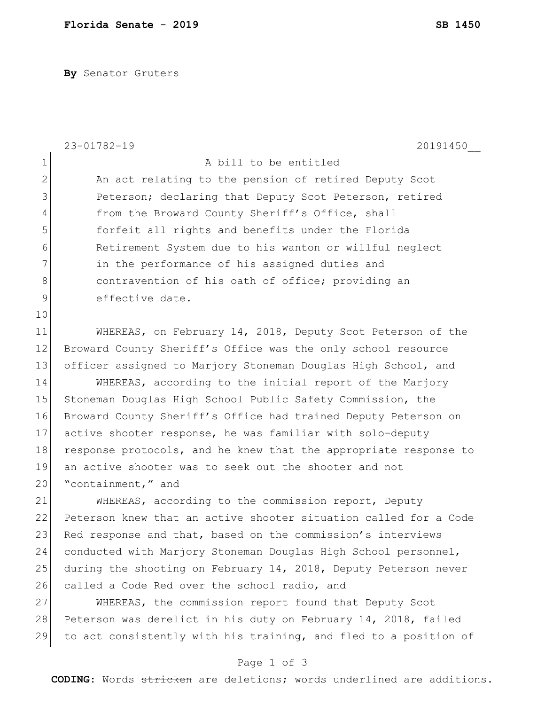**By** Senator Gruters

| $\mathbf 1$<br>A bill to be entitled<br>$\mathbf{2}$<br>An act relating to the pension of retired Deputy Scot<br>3<br>Peterson; declaring that Deputy Scot Peterson, retired<br>$\overline{4}$<br>from the Broward County Sheriff's Office, shall<br>5<br>forfeit all rights and benefits under the Florida<br>$\epsilon$<br>Retirement System due to his wanton or willful neglect<br>7<br>in the performance of his assigned duties and<br>8<br>contravention of his oath of office; providing an<br>$\mathsf 9$<br>effective date.<br>10<br>11<br>WHEREAS, on February 14, 2018, Deputy Scot Peterson of the |  |
|-----------------------------------------------------------------------------------------------------------------------------------------------------------------------------------------------------------------------------------------------------------------------------------------------------------------------------------------------------------------------------------------------------------------------------------------------------------------------------------------------------------------------------------------------------------------------------------------------------------------|--|
|                                                                                                                                                                                                                                                                                                                                                                                                                                                                                                                                                                                                                 |  |
|                                                                                                                                                                                                                                                                                                                                                                                                                                                                                                                                                                                                                 |  |
|                                                                                                                                                                                                                                                                                                                                                                                                                                                                                                                                                                                                                 |  |
|                                                                                                                                                                                                                                                                                                                                                                                                                                                                                                                                                                                                                 |  |
|                                                                                                                                                                                                                                                                                                                                                                                                                                                                                                                                                                                                                 |  |
|                                                                                                                                                                                                                                                                                                                                                                                                                                                                                                                                                                                                                 |  |
|                                                                                                                                                                                                                                                                                                                                                                                                                                                                                                                                                                                                                 |  |
|                                                                                                                                                                                                                                                                                                                                                                                                                                                                                                                                                                                                                 |  |
|                                                                                                                                                                                                                                                                                                                                                                                                                                                                                                                                                                                                                 |  |
|                                                                                                                                                                                                                                                                                                                                                                                                                                                                                                                                                                                                                 |  |
|                                                                                                                                                                                                                                                                                                                                                                                                                                                                                                                                                                                                                 |  |
| 12<br>Broward County Sheriff's Office was the only school resource                                                                                                                                                                                                                                                                                                                                                                                                                                                                                                                                              |  |
| 13<br>officer assigned to Marjory Stoneman Douglas High School, and                                                                                                                                                                                                                                                                                                                                                                                                                                                                                                                                             |  |
| 14<br>WHEREAS, according to the initial report of the Marjory                                                                                                                                                                                                                                                                                                                                                                                                                                                                                                                                                   |  |
| 15<br>Stoneman Douglas High School Public Safety Commission, the                                                                                                                                                                                                                                                                                                                                                                                                                                                                                                                                                |  |
| 16<br>Broward County Sheriff's Office had trained Deputy Peterson on                                                                                                                                                                                                                                                                                                                                                                                                                                                                                                                                            |  |
| 17<br>active shooter response, he was familiar with solo-deputy                                                                                                                                                                                                                                                                                                                                                                                                                                                                                                                                                 |  |
| 18<br>response protocols, and he knew that the appropriate response to                                                                                                                                                                                                                                                                                                                                                                                                                                                                                                                                          |  |
| 19<br>an active shooter was to seek out the shooter and not                                                                                                                                                                                                                                                                                                                                                                                                                                                                                                                                                     |  |
| 20<br>"containment," and                                                                                                                                                                                                                                                                                                                                                                                                                                                                                                                                                                                        |  |
| 21<br>WHEREAS, according to the commission report, Deputy                                                                                                                                                                                                                                                                                                                                                                                                                                                                                                                                                       |  |
| 22<br>Peterson knew that an active shooter situation called for a Code                                                                                                                                                                                                                                                                                                                                                                                                                                                                                                                                          |  |
| 23<br>Red response and that, based on the commission's interviews                                                                                                                                                                                                                                                                                                                                                                                                                                                                                                                                               |  |
| 24<br>conducted with Marjory Stoneman Douglas High School personnel,                                                                                                                                                                                                                                                                                                                                                                                                                                                                                                                                            |  |
| 25<br>during the shooting on February 14, 2018, Deputy Peterson never                                                                                                                                                                                                                                                                                                                                                                                                                                                                                                                                           |  |
| 26<br>called a Code Red over the school radio, and                                                                                                                                                                                                                                                                                                                                                                                                                                                                                                                                                              |  |
| 27<br>WHEREAS, the commission report found that Deputy Scot                                                                                                                                                                                                                                                                                                                                                                                                                                                                                                                                                     |  |
| 28<br>Peterson was derelict in his duty on February 14, 2018, failed                                                                                                                                                                                                                                                                                                                                                                                                                                                                                                                                            |  |
| 29<br>to act consistently with his training, and fled to a position of                                                                                                                                                                                                                                                                                                                                                                                                                                                                                                                                          |  |

## Page 1 of 3

**CODING**: Words stricken are deletions; words underlined are additions.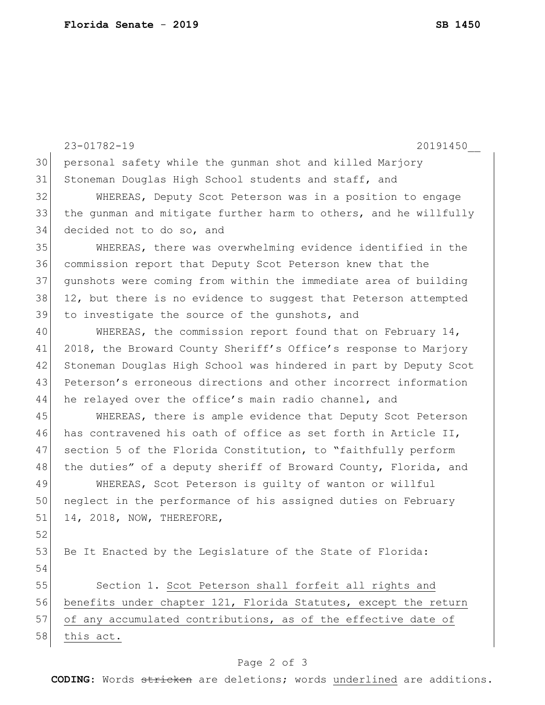|    | 23-01782-19<br>20191450                                          |  |  |  |  |  |
|----|------------------------------------------------------------------|--|--|--|--|--|
| 30 | personal safety while the gunman shot and killed Marjory         |  |  |  |  |  |
| 31 | Stoneman Douglas High School students and staff, and             |  |  |  |  |  |
| 32 | WHEREAS, Deputy Scot Peterson was in a position to engage        |  |  |  |  |  |
| 33 | the gunman and mitigate further harm to others, and he willfully |  |  |  |  |  |
| 34 | decided not to do so, and                                        |  |  |  |  |  |
| 35 | WHEREAS, there was overwhelming evidence identified in the       |  |  |  |  |  |
| 36 | commission report that Deputy Scot Peterson knew that the        |  |  |  |  |  |
| 37 | qunshots were coming from within the immediate area of building  |  |  |  |  |  |
| 38 | 12, but there is no evidence to suggest that Peterson attempted  |  |  |  |  |  |
| 39 | to investigate the source of the gunshots, and                   |  |  |  |  |  |
| 40 | WHEREAS, the commission report found that on February 14,        |  |  |  |  |  |
| 41 | 2018, the Broward County Sheriff's Office's response to Marjory  |  |  |  |  |  |
| 42 | Stoneman Douglas High School was hindered in part by Deputy Scot |  |  |  |  |  |
| 43 | Peterson's erroneous directions and other incorrect information  |  |  |  |  |  |
| 44 | he relayed over the office's main radio channel, and             |  |  |  |  |  |
| 45 | WHEREAS, there is ample evidence that Deputy Scot Peterson       |  |  |  |  |  |
| 46 | has contravened his oath of office as set forth in Article II,   |  |  |  |  |  |
| 47 | section 5 of the Florida Constitution, to "faithfully perform    |  |  |  |  |  |
| 48 | the duties" of a deputy sheriff of Broward County, Florida, and  |  |  |  |  |  |
| 49 | WHEREAS, Scot Peterson is quilty of wanton or willful            |  |  |  |  |  |
| 50 | neglect in the performance of his assigned duties on February    |  |  |  |  |  |
| 51 | 14, 2018, NOW, THEREFORE,                                        |  |  |  |  |  |
| 52 |                                                                  |  |  |  |  |  |
| 53 | Be It Enacted by the Legislature of the State of Florida:        |  |  |  |  |  |
| 54 |                                                                  |  |  |  |  |  |
| 55 | Section 1. Scot Peterson shall forfeit all rights and            |  |  |  |  |  |
| 56 | benefits under chapter 121, Florida Statutes, except the return  |  |  |  |  |  |
| 57 | of any accumulated contributions, as of the effective date of    |  |  |  |  |  |
| 58 | this act.                                                        |  |  |  |  |  |
|    |                                                                  |  |  |  |  |  |

## Page 2 of 3

**CODING**: Words stricken are deletions; words underlined are additions.